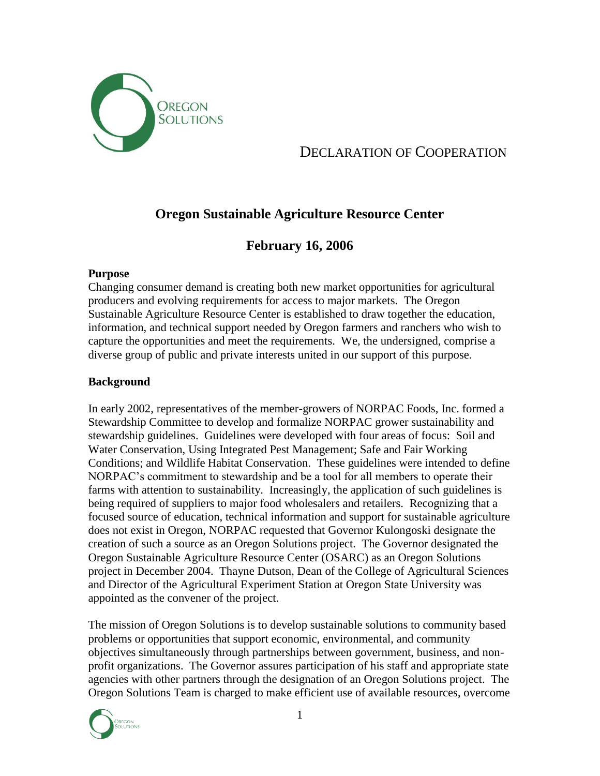

# DECLARATION OF COOPERATION

# **Oregon Sustainable Agriculture Resource Center**

## **February 16, 2006**

## **Purpose**

Changing consumer demand is creating both new market opportunities for agricultural producers and evolving requirements for access to major markets. The Oregon Sustainable Agriculture Resource Center is established to draw together the education, information, and technical support needed by Oregon farmers and ranchers who wish to capture the opportunities and meet the requirements. We, the undersigned, comprise a diverse group of public and private interests united in our support of this purpose.

## **Background**

In early 2002, representatives of the member-growers of NORPAC Foods, Inc. formed a Stewardship Committee to develop and formalize NORPAC grower sustainability and stewardship guidelines. Guidelines were developed with four areas of focus: Soil and Water Conservation, Using Integrated Pest Management; Safe and Fair Working Conditions; and Wildlife Habitat Conservation. These guidelines were intended to define NORPAC's commitment to stewardship and be a tool for all members to operate their farms with attention to sustainability. Increasingly, the application of such guidelines is being required of suppliers to major food wholesalers and retailers. Recognizing that a focused source of education, technical information and support for sustainable agriculture does not exist in Oregon, NORPAC requested that Governor Kulongoski designate the creation of such a source as an Oregon Solutions project. The Governor designated the Oregon Sustainable Agriculture Resource Center (OSARC) as an Oregon Solutions project in December 2004. Thayne Dutson, Dean of the College of Agricultural Sciences and Director of the Agricultural Experiment Station at Oregon State University was appointed as the convener of the project.

The mission of Oregon Solutions is to develop sustainable solutions to community based problems or opportunities that support economic, environmental, and community objectives simultaneously through partnerships between government, business, and nonprofit organizations. The Governor assures participation of his staff and appropriate state agencies with other partners through the designation of an Oregon Solutions project. The Oregon Solutions Team is charged to make efficient use of available resources, overcome

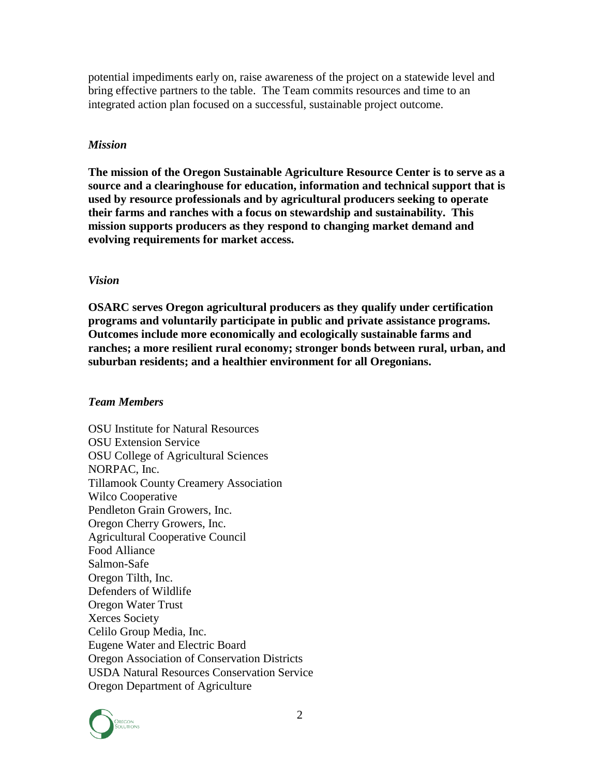potential impediments early on, raise awareness of the project on a statewide level and bring effective partners to the table. The Team commits resources and time to an integrated action plan focused on a successful, sustainable project outcome.

## *Mission*

**The mission of the Oregon Sustainable Agriculture Resource Center is to serve as a source and a clearinghouse for education, information and technical support that is used by resource professionals and by agricultural producers seeking to operate their farms and ranches with a focus on stewardship and sustainability. This mission supports producers as they respond to changing market demand and evolving requirements for market access.**

#### *Vision*

**OSARC serves Oregon agricultural producers as they qualify under certification programs and voluntarily participate in public and private assistance programs. Outcomes include more economically and ecologically sustainable farms and ranches; a more resilient rural economy; stronger bonds between rural, urban, and suburban residents; and a healthier environment for all Oregonians.**

#### *Team Members*

OSU Institute for Natural Resources OSU Extension Service OSU College of Agricultural Sciences NORPAC, Inc. Tillamook County Creamery Association Wilco Cooperative Pendleton Grain Growers, Inc. Oregon Cherry Growers, Inc. Agricultural Cooperative Council Food Alliance Salmon-Safe Oregon Tilth, Inc. Defenders of Wildlife Oregon Water Trust Xerces Society Celilo Group Media, Inc. Eugene Water and Electric Board Oregon Association of Conservation Districts USDA Natural Resources Conservation Service Oregon Department of Agriculture

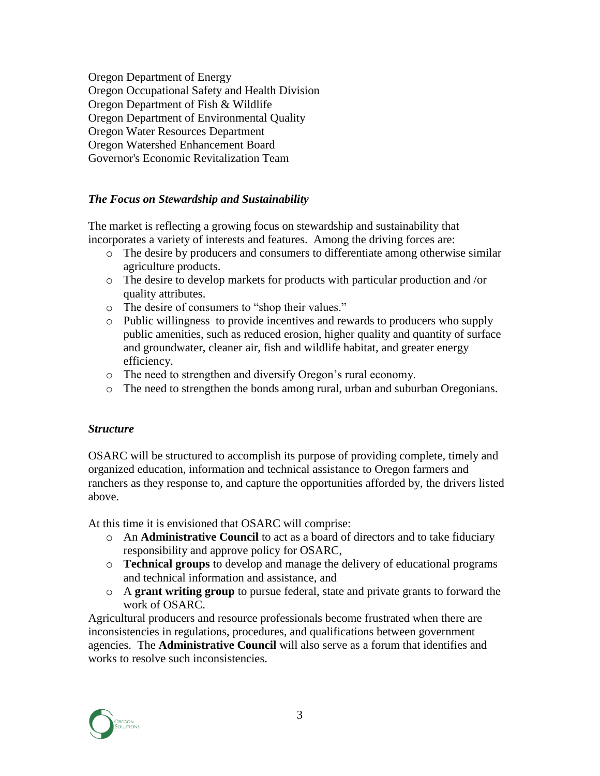Oregon Department of Energy Oregon Occupational Safety and Health Division Oregon Department of Fish & Wildlife Oregon Department of Environmental Quality Oregon Water Resources Department Oregon Watershed Enhancement Board Governor's Economic Revitalization Team

## *The Focus on Stewardship and Sustainability*

The market is reflecting a growing focus on stewardship and sustainability that incorporates a variety of interests and features. Among the driving forces are:

- o The desire by producers and consumers to differentiate among otherwise similar agriculture products.
- o The desire to develop markets for products with particular production and /or quality attributes.
- o The desire of consumers to "shop their values."
- o Public willingness to provide incentives and rewards to producers who supply public amenities, such as reduced erosion, higher quality and quantity of surface and groundwater, cleaner air, fish and wildlife habitat, and greater energy efficiency.
- o The need to strengthen and diversify Oregon's rural economy.
- o The need to strengthen the bonds among rural, urban and suburban Oregonians.

## *Structure*

OSARC will be structured to accomplish its purpose of providing complete, timely and organized education, information and technical assistance to Oregon farmers and ranchers as they response to, and capture the opportunities afforded by, the drivers listed above.

At this time it is envisioned that OSARC will comprise:

- o An **Administrative Council** to act as a board of directors and to take fiduciary responsibility and approve policy for OSARC,
- o **Technical groups** to develop and manage the delivery of educational programs and technical information and assistance, and
- o A **grant writing group** to pursue federal, state and private grants to forward the work of OSARC.

Agricultural producers and resource professionals become frustrated when there are inconsistencies in regulations, procedures, and qualifications between government agencies. The **Administrative Council** will also serve as a forum that identifies and works to resolve such inconsistencies.

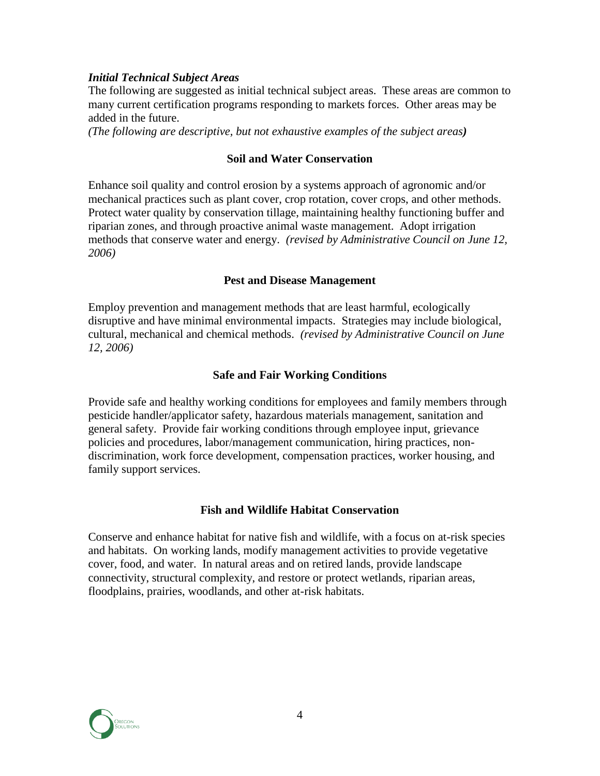## *Initial Technical Subject Areas*

The following are suggested as initial technical subject areas. These areas are common to many current certification programs responding to markets forces. Other areas may be added in the future.

*(The following are descriptive, but not exhaustive examples of the subject areas)*

#### **Soil and Water Conservation**

Enhance soil quality and control erosion by a systems approach of agronomic and/or mechanical practices such as plant cover, crop rotation, cover crops, and other methods. Protect water quality by conservation tillage, maintaining healthy functioning buffer and riparian zones, and through proactive animal waste management. Adopt irrigation methods that conserve water and energy. *(revised by Administrative Council on June 12, 2006)*

#### **Pest and Disease Management**

Employ prevention and management methods that are least harmful, ecologically disruptive and have minimal environmental impacts. Strategies may include biological, cultural, mechanical and chemical methods. *(revised by Administrative Council on June 12, 2006)*

## **Safe and Fair Working Conditions**

Provide safe and healthy working conditions for employees and family members through pesticide handler/applicator safety, hazardous materials management, sanitation and general safety. Provide fair working conditions through employee input, grievance policies and procedures, labor/management communication, hiring practices, nondiscrimination, work force development, compensation practices, worker housing, and family support services.

#### **Fish and Wildlife Habitat Conservation**

Conserve and enhance habitat for native fish and wildlife, with a focus on at-risk species and habitats. On working lands, modify management activities to provide vegetative cover, food, and water. In natural areas and on retired lands, provide landscape connectivity, structural complexity, and restore or protect wetlands, riparian areas, floodplains, prairies, woodlands, and other at-risk habitats.

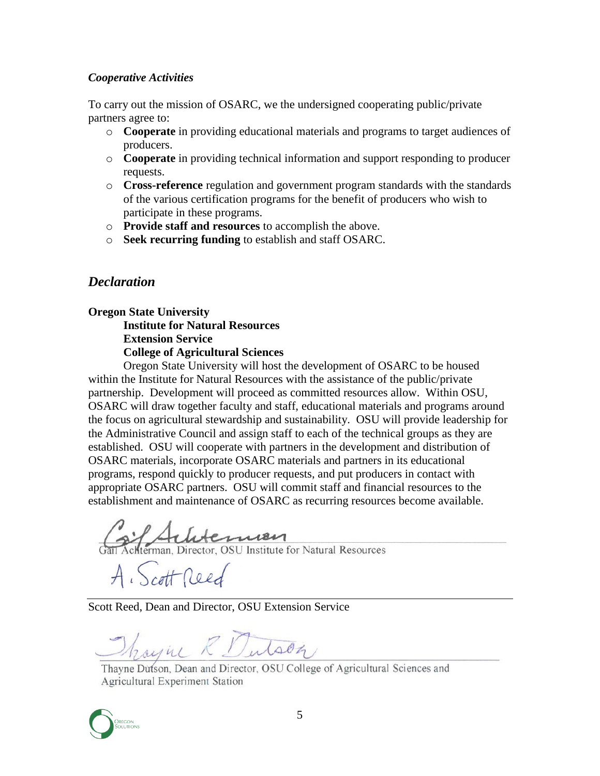## *Cooperative Activities*

To carry out the mission of OSARC, we the undersigned cooperating public/private partners agree to:

- o **Cooperate** in providing educational materials and programs to target audiences of producers.
- o **Cooperate** in providing technical information and support responding to producer requests.
- o **Cross-reference** regulation and government program standards with the standards of the various certification programs for the benefit of producers who wish to participate in these programs.
- o **Provide staff and resources** to accomplish the above.
- o **Seek recurring funding** to establish and staff OSARC.

## *Declaration*

**Oregon State University Institute for Natural Resources Extension Service**

**College of Agricultural Sciences**

Oregon State University will host the development of OSARC to be housed within the Institute for Natural Resources with the assistance of the public/private partnership. Development will proceed as committed resources allow. Within OSU, OSARC will draw together faculty and staff, educational materials and programs around the focus on agricultural stewardship and sustainability. OSU will provide leadership for the Administrative Council and assign staff to each of the technical groups as they are established. OSU will cooperate with partners in the development and distribution of OSARC materials, incorporate OSARC materials and partners in its educational programs, respond quickly to producer requests, and put producers in contact with appropriate OSARC partners. OSU will commit staff and financial resources to the establishment and maintenance of OSARC as recurring resources become available.

de Luterman

A. Scott Reed

Scott Reed, Dean and Director, OSU Extension Service

Though & Dutson

Thayne Dutson, Dean and Director, OSU College of Agricultural Sciences and Agricultural Experiment Station

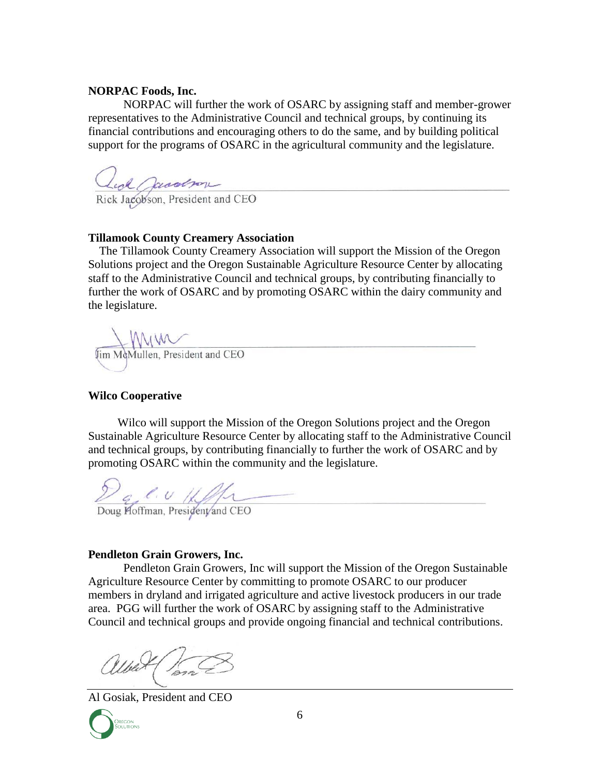#### **NORPAC Foods, Inc.**

NORPAC will further the work of OSARC by assigning staff and member-grower representatives to the Administrative Council and technical groups, by continuing its financial contributions and encouraging others to do the same, and by building political support for the programs of OSARC in the agricultural community and the legislature.

Cuol Grandson

## **Tillamook County Creamery Association**

The Tillamook County Creamery Association will support the Mission of the Oregon Solutions project and the Oregon Sustainable Agriculture Resource Center by allocating staff to the Administrative Council and technical groups, by contributing financially to further the work of OSARC and by promoting OSARC within the dairy community and the legislature.



## **Wilco Cooperative**

Wilco will support the Mission of the Oregon Solutions project and the Oregon Sustainable Agriculture Resource Center by allocating staff to the Administrative Council and technical groups, by contributing financially to further the work of OSARC and by promoting OSARC within the community and the legislature.

Day C. U ////

## **Pendleton Grain Growers, Inc.**

Pendleton Grain Growers, Inc will support the Mission of the Oregon Sustainable Agriculture Resource Center by committing to promote OSARC to our producer members in dryland and irrigated agriculture and active livestock producers in our trade area. PGG will further the work of OSARC by assigning staff to the Administrative Council and technical groups and provide ongoing financial and technical contributions.

albert form

Al Gosiak, President and CEO

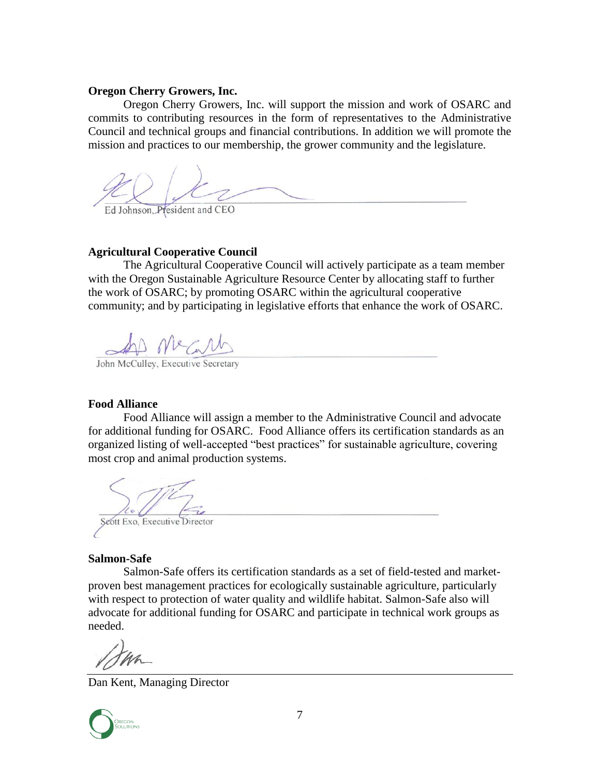#### **Oregon Cherry Growers, Inc.**

Oregon Cherry Growers, Inc. will support the mission and work of OSARC and commits to contributing resources in the form of representatives to the Administrative Council and technical groups and financial contributions. In addition we will promote the mission and practices to our membership, the grower community and the legislature.

Ed Johnson, President and CEO

## **Agricultural Cooperative Council**

The Agricultural Cooperative Council will actively participate as a team member with the Oregon Sustainable Agriculture Resource Center by allocating staff to further the work of OSARC; by promoting OSARC within the agricultural cooperative community; and by participating in legislative efforts that enhance the work of OSARC.

John McCulley, Executive Secretary

#### **Food Alliance**

Food Alliance will assign a member to the Administrative Council and advocate for additional funding for OSARC. Food Alliance offers its certification standards as an organized listing of well-accepted "best practices" for sustainable agriculture, covering most crop and animal production systems.

Seott Exo, Executive Director

#### **Salmon-Safe**

Salmon-Safe offers its certification standards as a set of field-tested and marketproven best management practices for ecologically sustainable agriculture, particularly with respect to protection of water quality and wildlife habitat. Salmon-Safe also will advocate for additional funding for OSARC and participate in technical work groups as needed.

Dan Kent, Managing Director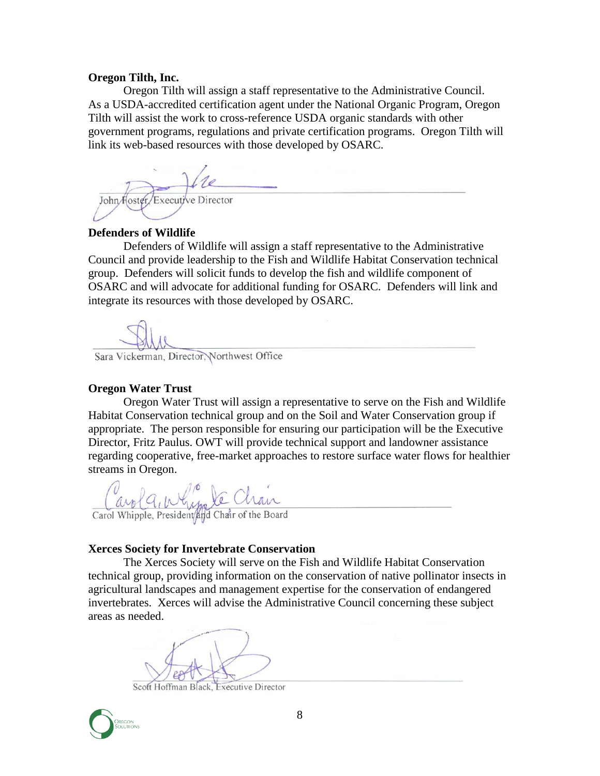#### **Oregon Tilth, Inc.**

Oregon Tilth will assign a staff representative to the Administrative Council. As a USDA-accredited certification agent under the National Organic Program, Oregon Tilth will assist the work to cross-reference USDA organic standards with other government programs, regulations and private certification programs. Oregon Tilth will link its web-based resources with those developed by OSARC.

John Hoster/Executive Director

#### **Defenders of Wildlife**

Defenders of Wildlife will assign a staff representative to the Administrative Council and provide leadership to the Fish and Wildlife Habitat Conservation technical group. Defenders will solicit funds to develop the fish and wildlife component of OSARC and will advocate for additional funding for OSARC. Defenders will link and integrate its resources with those developed by OSARC.

Sara Vickerman, Director, Northwest Office

#### **Oregon Water Trust**

Oregon Water Trust will assign a representative to serve on the Fish and Wildlife Habitat Conservation technical group and on the Soil and Water Conservation group if appropriate. The person responsible for ensuring our participation will be the Executive Director, Fritz Paulus. OWT will provide technical support and landowner assistance regarding cooperative, free-market approaches to restore surface water flows for healthier streams in Oregon.

Carol Q, My le Chan

#### **Xerces Society for Invertebrate Conservation**

The Xerces Society will serve on the Fish and Wildlife Habitat Conservation technical group, providing information on the conservation of native pollinator insects in agricultural landscapes and management expertise for the conservation of endangered invertebrates. Xerces will advise the Administrative Council concerning these subject areas as needed.

Scott Hoffman Black, Executive Director

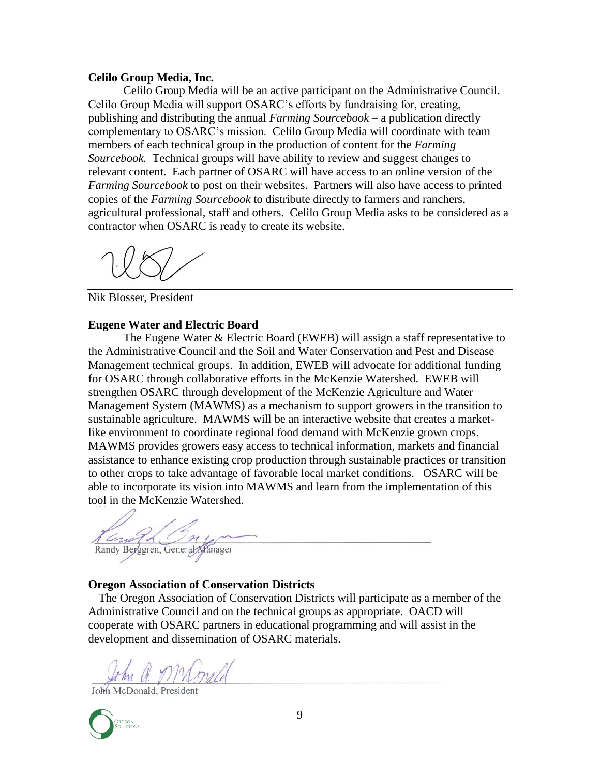#### **Celilo Group Media, Inc.**

Celilo Group Media will be an active participant on the Administrative Council. Celilo Group Media will support OSARC's efforts by fundraising for, creating, publishing and distributing the annual *Farming Sourcebook* – a publication directly complementary to OSARC's mission. Celilo Group Media will coordinate with team members of each technical group in the production of content for the *Farming Sourcebook.* Technical groups will have ability to review and suggest changes to relevant content. Each partner of OSARC will have access to an online version of the *Farming Sourcebook* to post on their websites. Partners will also have access to printed copies of the *Farming Sourcebook* to distribute directly to farmers and ranchers, agricultural professional, staff and others. Celilo Group Media asks to be considered as a contractor when OSARC is ready to create its website.

Nik Blosser, President

#### **Eugene Water and Electric Board**

The Eugene Water & Electric Board (EWEB) will assign a staff representative to the Administrative Council and the Soil and Water Conservation and Pest and Disease Management technical groups. In addition, EWEB will advocate for additional funding for OSARC through collaborative efforts in the McKenzie Watershed. EWEB will strengthen OSARC through development of the McKenzie Agriculture and Water Management System (MAWMS) as a mechanism to support growers in the transition to sustainable agriculture. MAWMS will be an interactive website that creates a marketlike environment to coordinate regional food demand with McKenzie grown crops. MAWMS provides growers easy access to technical information, markets and financial assistance to enhance existing crop production through sustainable practices or transition to other crops to take advantage of favorable local market conditions. OSARC will be able to incorporate its vision into MAWMS and learn from the implementation of this tool in the McKenzie Watershed.

Randy Berggren, General Manager

#### **Oregon Association of Conservation Districts**

The Oregon Association of Conservation Districts will participate as a member of the Administrative Council and on the technical groups as appropriate. OACD will cooperate with OSARC partners in educational programming and will assist in the development and dissemination of OSARC materials.

In a McGrald

John McDonald, Presider

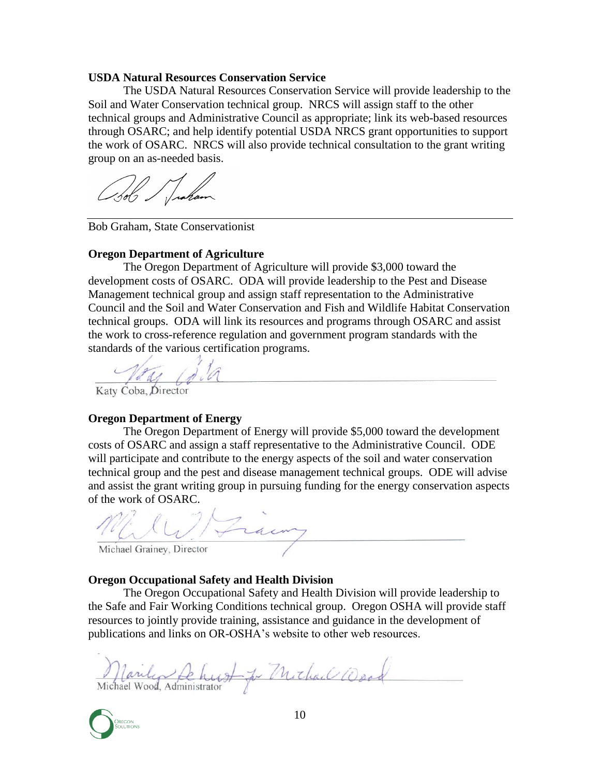#### **USDA Natural Resources Conservation Service**

The USDA Natural Resources Conservation Service will provide leadership to the Soil and Water Conservation technical group. NRCS will assign staff to the other technical groups and Administrative Council as appropriate; link its web-based resources through OSARC; and help identify potential USDA NRCS grant opportunities to support the work of OSARC. NRCS will also provide technical consultation to the grant writing group on an as-needed basis.

Bob Graham, State Conservationist

#### **Oregon Department of Agriculture**

The Oregon Department of Agriculture will provide \$3,000 toward the development costs of OSARC. ODA will provide leadership to the Pest and Disease Management technical group and assign staff representation to the Administrative Council and the Soil and Water Conservation and Fish and Wildlife Habitat Conservation technical groups. ODA will link its resources and programs through OSARC and assist the work to cross-reference regulation and government program standards with the standards of the various certification programs.

Katy Coba, Director

#### **Oregon Department of Energy**

The Oregon Department of Energy will provide \$5,000 toward the development costs of OSARC and assign a staff representative to the Administrative Council. ODE will participate and contribute to the energy aspects of the soil and water conservation technical group and the pest and disease management technical groups. ODE will advise and assist the grant writing group in pursuing funding for the energy conservation aspects of the work of OSARC.

Michael Grainey, Director

#### **Oregon Occupational Safety and Health Division**

The Oregon Occupational Safety and Health Division will provide leadership to the Safe and Fair Working Conditions technical group. Oregon OSHA will provide staff resources to jointly provide training, assistance and guidance in the development of publications and links on OR-OSHA's website to other web resources.

Marily Schurt Je Michael Wood

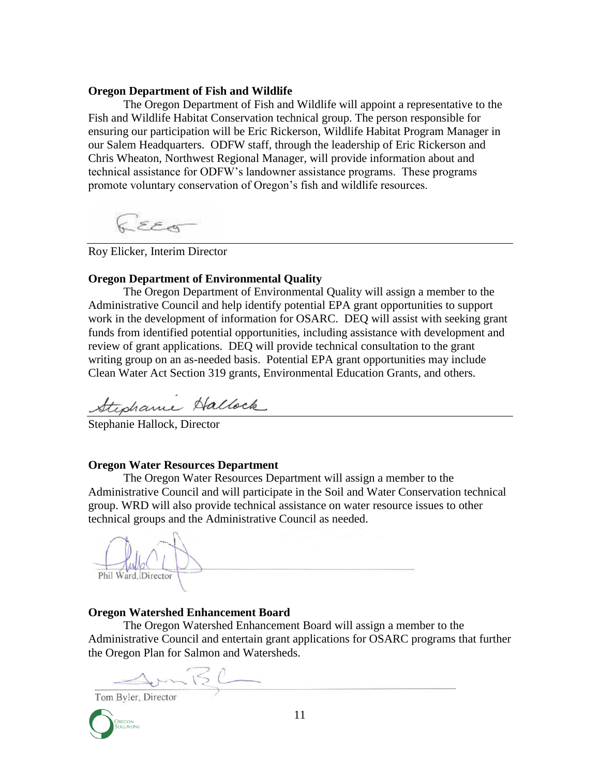#### **Oregon Department of Fish and Wildlife**

The Oregon Department of Fish and Wildlife will appoint a representative to the Fish and Wildlife Habitat Conservation technical group. The person responsible for ensuring our participation will be Eric Rickerson, Wildlife Habitat Program Manager in our Salem Headquarters. ODFW staff, through the leadership of Eric Rickerson and Chris Wheaton, Northwest Regional Manager, will provide information about and technical assistance for ODFW's landowner assistance programs. These programs promote voluntary conservation of Oregon's fish and wildlife resources.

EEG

Roy Elicker, Interim Director

#### **Oregon Department of Environmental Quality**

The Oregon Department of Environmental Quality will assign a member to the Administrative Council and help identify potential EPA grant opportunities to support work in the development of information for OSARC. DEQ will assist with seeking grant funds from identified potential opportunities, including assistance with development and review of grant applications. DEQ will provide technical consultation to the grant writing group on an as-needed basis. Potential EPA grant opportunities may include Clean Water Act Section 319 grants, Environmental Education Grants, and others.

Stephanie Hallock

Stephanie Hallock, Director

#### **Oregon Water Resources Department**

The Oregon Water Resources Department will assign a member to the Administrative Council and will participate in the Soil and Water Conservation technical group. WRD will also provide technical assistance on water resource issues to other technical groups and the Administrative Council as needed.

Phil Ward, Director

#### **Oregon Watershed Enhancement Board**

The Oregon Watershed Enhancement Board will assign a member to the Administrative Council and entertain grant applications for OSARC programs that further the Oregon Plan for Salmon and Watersheds.

SomBC Tom Byler, Director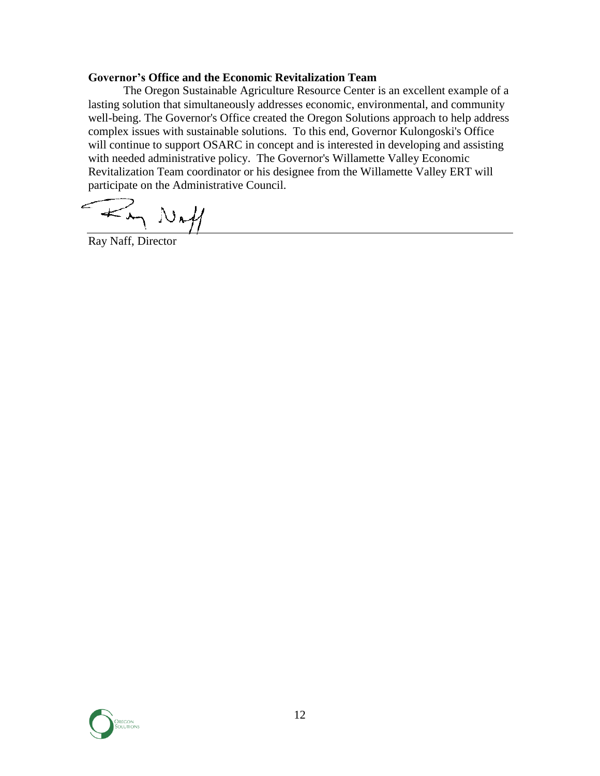## **Governor's Office and the Economic Revitalization Team**

The Oregon Sustainable Agriculture Resource Center is an excellent example of a lasting solution that simultaneously addresses economic, environmental, and community well-being. The Governor's Office created the Oregon Solutions approach to help address complex issues with sustainable solutions. To this end, Governor Kulongoski's Office will continue to support OSARC in concept and is interested in developing and assisting with needed administrative policy. The Governor's Willamette Valley Economic Revitalization Team coordinator or his designee from the Willamette Valley ERT will participate on the Administrative Council.

 $\sim$  Not

Ray Naff, Director